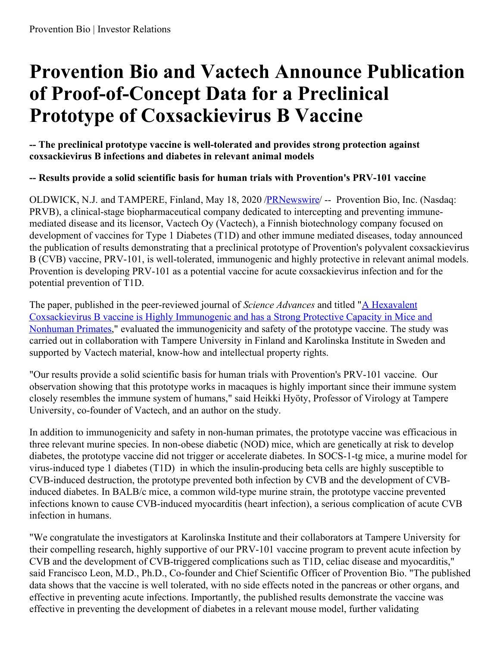# **Provention Bio and Vactech Announce Publication of Proof-of-Concept Data for a Preclinical Prototype of Coxsackievirus B Vaccine**

**-- The preclinical prototype vaccine is well-tolerated and provides strong protection against coxsackievirus B infections and diabetes in relevant animal models**

## **-- Results provide a solid scientific basis for human trials with Provention's PRV-101 vaccine**

OLDWICK, N.J. and TAMPERE, Finland, May 18, 2020 [/PRNewswire](http://www.prnewswire.com/)/ -- Provention Bio, Inc. (Nasdaq: PRVB), a clinical-stage biopharmaceutical company dedicated to intercepting and preventing immunemediated disease and its licensor, Vactech Oy (Vactech), a Finnish biotechnology company focused on development of vaccines for Type 1 Diabetes (T1D) and other immune mediated diseases, today announced the publication of results demonstrating that a preclinical prototype of Provention's polyvalent coxsackievirus B (CVB) vaccine, PRV-101, is well-tolerated, immunogenic and highly protective in relevant animal models. Provention is developing PRV-101 as a potential vaccine for acute coxsackievirus infection and for the potential prevention of T1D.

The paper, published in the peer-reviewed journal of *Science Advances* and titled "A Hexavalent Coxsackievirus B vaccine is Highly Immunogenic and has a Strong Protective Capacity in Mice and Nonhuman Primates," evaluated the [immunogenicity](https://c212.net/c/link/?t=0&l=en&o=2806341-1&h=3387814326&u=https%3A%2F%2Fadvances.sciencemag.org%2Fcontent%2F6%2F19%2Feaaz2433&a=A+Hexavalent+Coxsackievirus+B+vaccine+is+Highly+Immunogenic+and+has+a+Strong+Protective+Capacity+in+Mice+and+Nonhuman+Primates) and safety of the prototype vaccine. The study was carried out in collaboration with Tampere University in Finland and Karolinska Institute in Sweden and supported by Vactech material, know-how and intellectual property rights.

"Our results provide a solid scientific basis for human trials with Provention's PRV-101 vaccine. Our observation showing that this prototype works in macaques is highly important since their immune system closely resembles the immune system of humans," said Heikki Hyöty, Professor of Virology at Tampere University, co-founder of Vactech, and an author on the study.

In addition to immunogenicity and safety in non-human primates, the prototype vaccine was efficacious in three relevant murine species. In non-obese diabetic (NOD) mice, which are genetically at risk to develop diabetes, the prototype vaccine did not trigger or accelerate diabetes. In SOCS-1-tg mice, a murine model for virus-induced type 1 diabetes (T1D) in which the insulin-producing beta cells are highly susceptible to CVB-induced destruction, the prototype prevented both infection by CVB and the development of CVBinduced diabetes. In BALB/c mice, a common wild-type murine strain, the prototype vaccine prevented infections known to cause CVB-induced myocarditis (heart infection), a serious complication of acute CVB infection in humans.

"We congratulate the investigators at Karolinska Institute and their collaborators at Tampere University for their compelling research, highly supportive of our PRV-101 vaccine program to prevent acute infection by CVB and the development of CVB-triggered complications such as T1D, celiac disease and myocarditis," said Francisco Leon, M.D., Ph.D., Co-founder and Chief Scientific Officer of Provention Bio. "The published data shows that the vaccine is well tolerated, with no side effects noted in the pancreas or other organs, and effective in preventing acute infections. Importantly, the published results demonstrate the vaccine was effective in preventing the development of diabetes in a relevant mouse model, further validating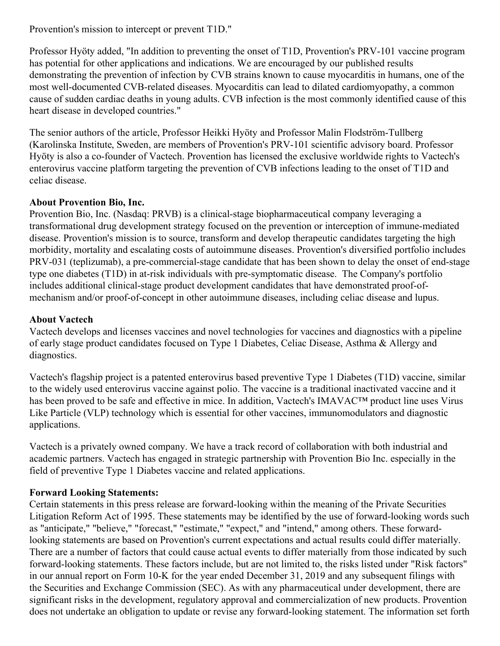Provention's mission to intercept or prevent T1D."

Professor Hyöty added, "In addition to preventing the onset of T1D, Provention's PRV-101 vaccine program has potential for other applications and indications. We are encouraged by our published results demonstrating the prevention of infection by CVB strains known to cause myocarditis in humans, one of the most well-documented CVB-related diseases. Myocarditis can lead to dilated cardiomyopathy, a common cause of sudden cardiac deaths in young adults. CVB infection is the most commonly identified cause of this heart disease in developed countries."

The senior authors of the article, Professor Heikki Hyöty and Professor Malin Flodström-Tullberg (Karolinska Institute, Sweden, are members of Provention's PRV-101 scientific advisory board. Professor Hyöty is also a co-founder of Vactech. Provention has licensed the exclusive worldwide rights to Vactech's enterovirus vaccine platform targeting the prevention of CVB infections leading to the onset of T1D and celiac disease.

### **About Provention Bio, Inc.**

Provention Bio, Inc. (Nasdaq: PRVB) is a clinical-stage biopharmaceutical company leveraging a transformational drug development strategy focused on the prevention or interception of immune-mediated disease. Provention's mission is to source, transform and develop therapeutic candidates targeting the high morbidity, mortality and escalating costs of autoimmune diseases. Provention's diversified portfolio includes PRV-031 (teplizumab), a pre-commercial-stage candidate that has been shown to delay the onset of end-stage type one diabetes (T1D) in at-risk individuals with pre-symptomatic disease. The Company's portfolio includes additional clinical-stage product development candidates that have demonstrated proof-ofmechanism and/or proof-of-concept in other autoimmune diseases, including celiac disease and lupus.

### **About Vactech**

Vactech develops and licenses vaccines and novel technologies for vaccines and diagnostics with a pipeline of early stage product candidates focused on Type 1 Diabetes, Celiac Disease, Asthma & Allergy and diagnostics.

Vactech's flagship project is a patented enterovirus based preventive Type 1 Diabetes (T1D) vaccine, similar to the widely used enterovirus vaccine against polio. The vaccine is a traditional inactivated vaccine and it has been proved to be safe and effective in mice. In addition, Vactech's IMAVAC™ product line uses Virus Like Particle (VLP) technology which is essential for other vaccines, immunomodulators and diagnostic applications.

Vactech is a privately owned company. We have a track record of collaboration with both industrial and academic partners. Vactech has engaged in strategic partnership with Provention Bio Inc. especially in the field of preventive Type 1 Diabetes vaccine and related applications.

#### **Forward Looking Statements:**

Certain statements in this press release are forward-looking within the meaning of the Private Securities Litigation Reform Act of 1995. These statements may be identified by the use of forward-looking words such as "anticipate," "believe," "forecast," "estimate," "expect," and "intend," among others. These forwardlooking statements are based on Provention's current expectations and actual results could differ materially. There are a number of factors that could cause actual events to differ materially from those indicated by such forward-looking statements. These factors include, but are not limited to, the risks listed under "Risk factors" in our annual report on Form 10-K for the year ended December 31, 2019 and any subsequent filings with the Securities and Exchange Commission (SEC). As with any pharmaceutical under development, there are significant risks in the development, regulatory approval and commercialization of new products. Provention does not undertake an obligation to update or revise any forward-looking statement. The information set forth